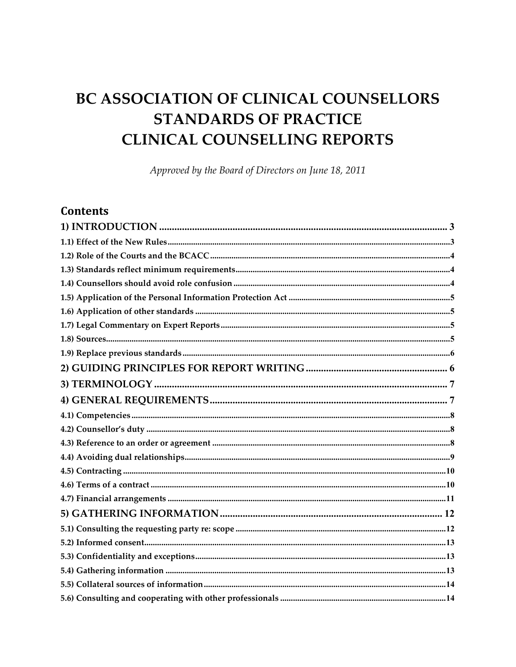# BC ASSOCIATION OF CLINICAL COUNSELLORS **STANDARDS OF PRACTICE CLINICAL COUNSELLING REPORTS**

Approved by the Board of Directors on June 18, 2011

# **Contents**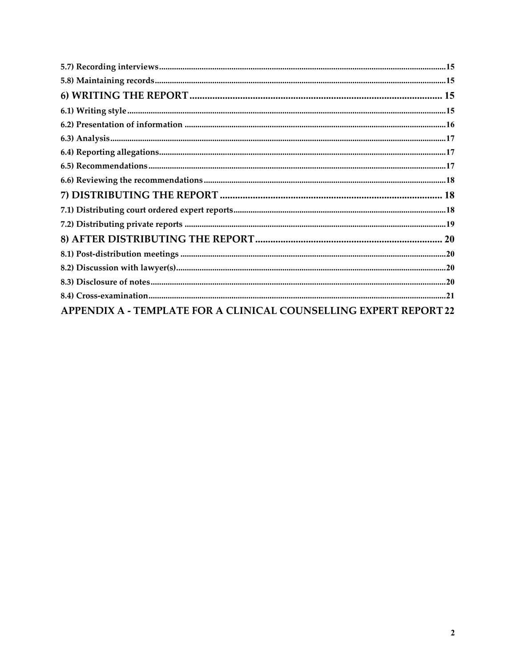| <b>APPENDIX A - TEMPLATE FOR A CLINICAL COUNSELLING EXPERT REPORT 22</b> |  |
|--------------------------------------------------------------------------|--|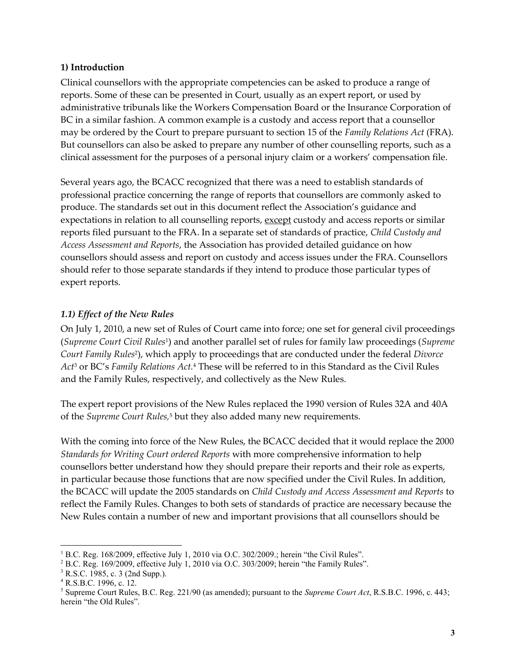#### <span id="page-2-0"></span>**1) Introduction**

Clinical counsellors with the appropriate competencies can be asked to produce a range of reports. Some of these can be presented in Court, usually as an expert report, or used by administrative tribunals like the Workers Compensation Board or the Insurance Corporation of BC in a similar fashion. A common example is a custody and access report that a counsellor may be ordered by the Court to prepare pursuant to section 15 of the *Family Relations Act* (FRA). But counsellors can also be asked to prepare any number of other counselling reports, such as a clinical assessment for the purposes of a personal injury claim or a workers' compensation file.

Several years ago, the BCACC recognized that there was a need to establish standards of professional practice concerning the range of reports that counsellors are commonly asked to produce. The standards set out in this document reflect the Association's guidance and expectations in relation to all counselling reports, except custody and access reports or similar reports filed pursuant to the FRA. In a separate set of standards of practice, *Child Custody and Access Assessment and Reports*, the Association has provided detailed guidance on how counsellors should assess and report on custody and access issues under the FRA. Counsellors should refer to those separate standards if they intend to produce those particular types of expert reports.

#### <span id="page-2-1"></span>*1.1) Effect of the New Rules*

On July 1, 2010, a new set of Rules of Court came into force; one set for general civil proceedings (*Supreme Court Civil Rules*<sup>1</sup>) and another parallel set of rules for family law proceedings (*Supreme Court Family Rules*<sup>2</sup> ), which apply to proceedings that are conducted under the federal *Divorce Act*<sup>3</sup> or BC's *Family Relations Act.*<sup>4</sup> These will be referred to in this Standard as the Civil Rules and the Family Rules, respectively, and collectively as the New Rules.

The expert report provisions of the New Rules replaced the 1990 version of Rules 32A and 40A of the *Supreme Court Rules,*<sup>5</sup> but they also added many new requirements.

With the coming into force of the New Rules, the BCACC decided that it would replace the 2000 *Standards for Writing Court ordered Reports* with more comprehensive information to help counsellors better understand how they should prepare their reports and their role as experts, in particular because those functions that are now specified under the Civil Rules. In addition, the BCACC will update the 2005 standards on *Child Custody and Access Assessment and Reports* to reflect the Family Rules. Changes to both sets of standards of practice are necessary because the New Rules contain a number of new and important provisions that all counsellors should be

 $\overline{a}$ <sup>1</sup> B.C. Reg. 168/2009, effective July 1, 2010 via O.C. 302/2009.; herein "the Civil Rules".

<sup>&</sup>lt;sup>2</sup> B.C. Reg. 169/2009, effective July 1, 2010 via O.C. 303/2009; herein "the Family Rules".

<sup>3</sup> R.S.C. 1985, c. 3 (2nd Supp.).

 $4$  R.S.B.C. 1996, c. 12.

<sup>5</sup> Supreme Court Rules, B.C. Reg. 221/90 (as amended); pursuant to the *Supreme Court Act*, R.S.B.C. 1996, c. 443; herein "the Old Rules".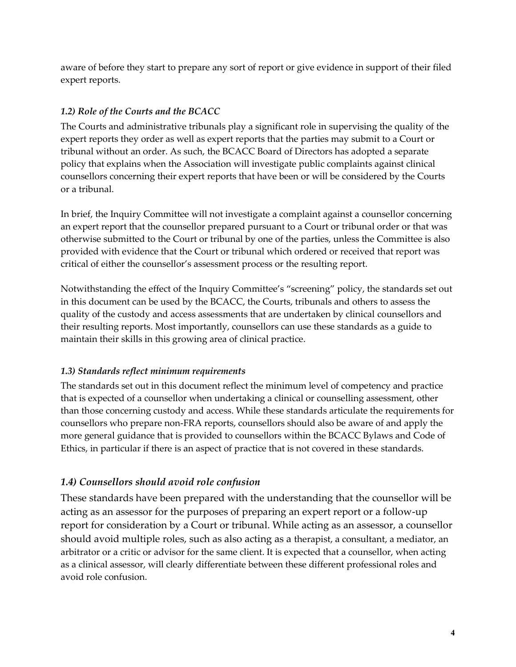aware of before they start to prepare any sort of report or give evidence in support of their filed expert reports.

# <span id="page-3-0"></span>*1.2) Role of the Courts and the BCACC*

The Courts and administrative tribunals play a significant role in supervising the quality of the expert reports they order as well as expert reports that the parties may submit to a Court or tribunal without an order. As such, the BCACC Board of Directors has adopted a separate policy that explains when the Association will investigate public complaints against clinical counsellors concerning their expert reports that have been or will be considered by the Courts or a tribunal.

In brief, the Inquiry Committee will not investigate a complaint against a counsellor concerning an expert report that the counsellor prepared pursuant to a Court or tribunal order or that was otherwise submitted to the Court or tribunal by one of the parties, unless the Committee is also provided with evidence that the Court or tribunal which ordered or received that report was critical of either the counsellor's assessment process or the resulting report.

Notwithstanding the effect of the Inquiry Committee's "screening" policy, the standards set out in this document can be used by the BCACC, the Courts, tribunals and others to assess the quality of the custody and access assessments that are undertaken by clinical counsellors and their resulting reports. Most importantly, counsellors can use these standards as a guide to maintain their skills in this growing area of clinical practice.

# <span id="page-3-1"></span>*1.3) Standards reflect minimum requirements*

The standards set out in this document reflect the minimum level of competency and practice that is expected of a counsellor when undertaking a clinical or counselling assessment, other than those concerning custody and access. While these standards articulate the requirements for counsellors who prepare non-FRA reports, counsellors should also be aware of and apply the more general guidance that is provided to counsellors within the BCACC Bylaws and Code of Ethics, in particular if there is an aspect of practice that is not covered in these standards.

# <span id="page-3-2"></span>*1.4) Counsellors should avoid role confusion*

These standards have been prepared with the understanding that the counsellor will be acting as an assessor for the purposes of preparing an expert report or a follow-up report for consideration by a Court or tribunal. While acting as an assessor, a counsellor should avoid multiple roles, such as also acting as a therapist, a consultant, a mediator, an arbitrator or a critic or advisor for the same client. It is expected that a counsellor, when acting as a clinical assessor, will clearly differentiate between these different professional roles and avoid role confusion.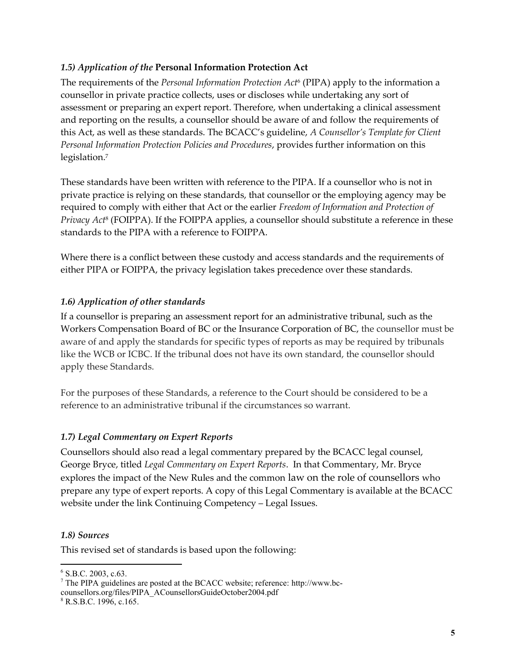#### <span id="page-4-0"></span>*1.5) Application of the* **Personal Information Protection Act**

The requirements of the *Personal Information Protection Act*<sup>6</sup> (PIPA) apply to the information a counsellor in private practice collects, uses or discloses while undertaking any sort of assessment or preparing an expert report. Therefore, when undertaking a clinical assessment and reporting on the results, a counsellor should be aware of and follow the requirements of this Act, as well as these standards. The BCACC's guideline, *A Counsellor's Template for Client Personal Information Protection Policies and Procedures*, provides further information on this legislation.<sup>7</sup>

These standards have been written with reference to the PIPA. If a counsellor who is not in private practice is relying on these standards, that counsellor or the employing agency may be required to comply with either that Act or the earlier *Freedom of Information and Protection of Privacy Act*<sup>8</sup> (FOIPPA). If the FOIPPA applies, a counsellor should substitute a reference in these standards to the PIPA with a reference to FOIPPA.

Where there is a conflict between these custody and access standards and the requirements of either PIPA or FOIPPA, the privacy legislation takes precedence over these standards.

#### <span id="page-4-1"></span>*1.6) Application of other standards*

If a counsellor is preparing an assessment report for an administrative tribunal, such as the Workers Compensation Board of BC or the Insurance Corporation of BC, the counsellor must be aware of and apply the standards for specific types of reports as may be required by tribunals like the WCB or ICBC. If the tribunal does not have its own standard, the counsellor should apply these Standards.

For the purposes of these Standards, a reference to the Court should be considered to be a reference to an administrative tribunal if the circumstances so warrant.

#### <span id="page-4-2"></span>*1.7) Legal Commentary on Expert Reports*

Counsellors should also read a legal commentary prepared by the BCACC legal counsel, George Bryce, titled *Legal Commentary on Expert Reports*. In that Commentary, Mr. Bryce explores the impact of the New Rules and the common law on the role of counsellors who prepare any type of expert reports. A copy of this Legal Commentary is available at the BCACC website under the link Continuing Competency – Legal Issues.

#### <span id="page-4-3"></span>*1.8) Sources*

 $\overline{a}$ 

This revised set of standards is based upon the following:

 $6$  S.B.C. 2003, c.63.

 $7$  The PIPA guidelines are posted at the BCACC website; reference: http://www.bccounsellors.org/files/PIPA\_ACounsellorsGuideOctober2004.pdf

<sup>8</sup> R.S.B.C. 1996, c.165.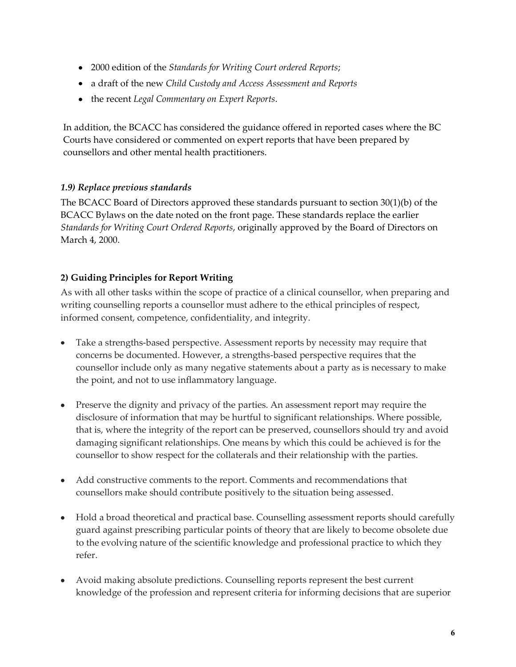- 2000 edition of the *Standards for Writing Court ordered Reports*;
- a draft of the new *Child Custody and Access Assessment and Reports*
- the recent *Legal Commentary on Expert Reports*.

In addition, the BCACC has considered the guidance offered in reported cases where the BC Courts have considered or commented on expert reports that have been prepared by counsellors and other mental health practitioners.

## <span id="page-5-0"></span>*1.9) Replace previous standards*

The BCACC Board of Directors approved these standards pursuant to section 30(1)(b) of the BCACC Bylaws on the date noted on the front page. These standards replace the earlier *Standards for Writing Court Ordered Reports*, originally approved by the Board of Directors on March 4, 2000.

# <span id="page-5-1"></span>**2) Guiding Principles for Report Writing**

As with all other tasks within the scope of practice of a clinical counsellor, when preparing and writing counselling reports a counsellor must adhere to the ethical principles of respect, informed consent, competence, confidentiality, and integrity.

- Take a strengths-based perspective. Assessment reports by necessity may require that concerns be documented. However, a strengths-based perspective requires that the counsellor include only as many negative statements about a party as is necessary to make the point, and not to use inflammatory language.
- Preserve the dignity and privacy of the parties. An assessment report may require the disclosure of information that may be hurtful to significant relationships. Where possible, that is, where the integrity of the report can be preserved, counsellors should try and avoid damaging significant relationships. One means by which this could be achieved is for the counsellor to show respect for the collaterals and their relationship with the parties.
- Add constructive comments to the report. Comments and recommendations that counsellors make should contribute positively to the situation being assessed.
- Hold a broad theoretical and practical base. Counselling assessment reports should carefully guard against prescribing particular points of theory that are likely to become obsolete due to the evolving nature of the scientific knowledge and professional practice to which they refer.
- Avoid making absolute predictions. Counselling reports represent the best current knowledge of the profession and represent criteria for informing decisions that are superior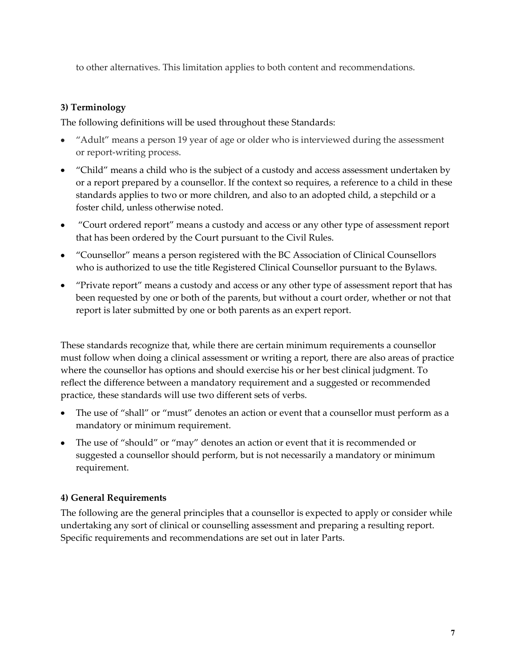to other alternatives. This limitation applies to both content and recommendations.

## <span id="page-6-0"></span>**3) Terminology**

The following definitions will be used throughout these Standards:

- "Adult" means a person 19 year of age or older who is interviewed during the assessment or report-writing process.
- "Child" means a child who is the subject of a custody and access assessment undertaken by or a report prepared by a counsellor. If the context so requires, a reference to a child in these standards applies to two or more children, and also to an adopted child, a stepchild or a foster child, unless otherwise noted.
- "Court ordered report" means a custody and access or any other type of assessment report that has been ordered by the Court pursuant to the Civil Rules.
- "Counsellor" means a person registered with the BC Association of Clinical Counsellors who is authorized to use the title Registered Clinical Counsellor pursuant to the Bylaws.
- "Private report" means a custody and access or any other type of assessment report that has been requested by one or both of the parents, but without a court order, whether or not that report is later submitted by one or both parents as an expert report.

These standards recognize that, while there are certain minimum requirements a counsellor must follow when doing a clinical assessment or writing a report, there are also areas of practice where the counsellor has options and should exercise his or her best clinical judgment. To reflect the difference between a mandatory requirement and a suggested or recommended practice, these standards will use two different sets of verbs.

- The use of "shall" or "must" denotes an action or event that a counsellor must perform as a mandatory or minimum requirement.
- The use of "should" or "may" denotes an action or event that it is recommended or suggested a counsellor should perform, but is not necessarily a mandatory or minimum requirement.

# <span id="page-6-1"></span>**4) General Requirements**

The following are the general principles that a counsellor is expected to apply or consider while undertaking any sort of clinical or counselling assessment and preparing a resulting report. Specific requirements and recommendations are set out in later Parts.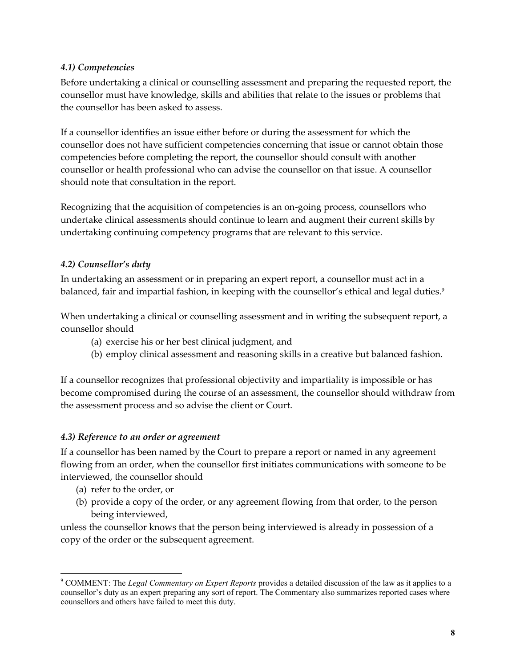### <span id="page-7-0"></span>*4.1) Competencies*

Before undertaking a clinical or counselling assessment and preparing the requested report, the counsellor must have knowledge, skills and abilities that relate to the issues or problems that the counsellor has been asked to assess.

If a counsellor identifies an issue either before or during the assessment for which the counsellor does not have sufficient competencies concerning that issue or cannot obtain those competencies before completing the report, the counsellor should consult with another counsellor or health professional who can advise the counsellor on that issue. A counsellor should note that consultation in the report.

Recognizing that the acquisition of competencies is an on-going process, counsellors who undertake clinical assessments should continue to learn and augment their current skills by undertaking continuing competency programs that are relevant to this service.

#### <span id="page-7-1"></span>*4.2) Counsellor's duty*

In undertaking an assessment or in preparing an expert report, a counsellor must act in a balanced, fair and impartial fashion, in keeping with the counsellor's ethical and legal duties.<sup>9</sup>

When undertaking a clinical or counselling assessment and in writing the subsequent report, a counsellor should

- (a) exercise his or her best clinical judgment, and
- (b) employ clinical assessment and reasoning skills in a creative but balanced fashion.

If a counsellor recognizes that professional objectivity and impartiality is impossible or has become compromised during the course of an assessment, the counsellor should withdraw from the assessment process and so advise the client or Court.

#### <span id="page-7-2"></span>*4.3) Reference to an order or agreement*

If a counsellor has been named by the Court to prepare a report or named in any agreement flowing from an order, when the counsellor first initiates communications with someone to be interviewed, the counsellor should

(a) refer to the order, or

 $\overline{a}$ 

(b) provide a copy of the order, or any agreement flowing from that order, to the person being interviewed,

unless the counsellor knows that the person being interviewed is already in possession of a copy of the order or the subsequent agreement.

<sup>9</sup> COMMENT: The *Legal Commentary on Expert Reports* provides a detailed discussion of the law as it applies to a counsellor's duty as an expert preparing any sort of report. The Commentary also summarizes reported cases where counsellors and others have failed to meet this duty.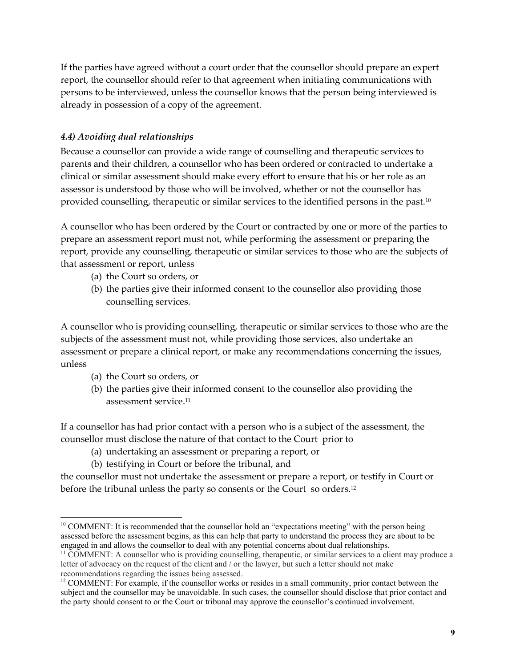If the parties have agreed without a court order that the counsellor should prepare an expert report, the counsellor should refer to that agreement when initiating communications with persons to be interviewed, unless the counsellor knows that the person being interviewed is already in possession of a copy of the agreement.

#### <span id="page-8-0"></span>*4.4) Avoiding dual relationships*

Because a counsellor can provide a wide range of counselling and therapeutic services to parents and their children, a counsellor who has been ordered or contracted to undertake a clinical or similar assessment should make every effort to ensure that his or her role as an assessor is understood by those who will be involved, whether or not the counsellor has provided counselling, therapeutic or similar services to the identified persons in the past.<sup>10</sup>

A counsellor who has been ordered by the Court or contracted by one or more of the parties to prepare an assessment report must not, while performing the assessment or preparing the report, provide any counselling, therapeutic or similar services to those who are the subjects of that assessment or report, unless

- (a) the Court so orders, or
- (b) the parties give their informed consent to the counsellor also providing those counselling services.

A counsellor who is providing counselling, therapeutic or similar services to those who are the subjects of the assessment must not, while providing those services, also undertake an assessment or prepare a clinical report, or make any recommendations concerning the issues, unless

- (a) the Court so orders, or
- (b) the parties give their informed consent to the counsellor also providing the assessment service.<sup>11</sup>

If a counsellor has had prior contact with a person who is a subject of the assessment, the counsellor must disclose the nature of that contact to the Court prior to

- (a) undertaking an assessment or preparing a report, or
- (b) testifying in Court or before the tribunal, and

the counsellor must not undertake the assessment or prepare a report, or testify in Court or before the tribunal unless the party so consents or the Court so orders.<sup>12</sup>

 $\overline{a}$ <sup>10</sup> COMMENT: It is recommended that the counsellor hold an "expectations meeting" with the person being assessed before the assessment begins, as this can help that party to understand the process they are about to be engaged in and allows the counsellor to deal with any potential concerns about dual relationships.

<sup>&</sup>lt;sup>11</sup> COMMENT: A counsellor who is providing counselling, therapeutic, or similar services to a client may produce a letter of advocacy on the request of the client and / or the lawyer, but such a letter should not make recommendations regarding the issues being assessed.

<sup>&</sup>lt;sup>12</sup> COMMENT: For example, if the counsellor works or resides in a small community, prior contact between the subject and the counsellor may be unavoidable. In such cases, the counsellor should disclose that prior contact and the party should consent to or the Court or tribunal may approve the counsellor's continued involvement.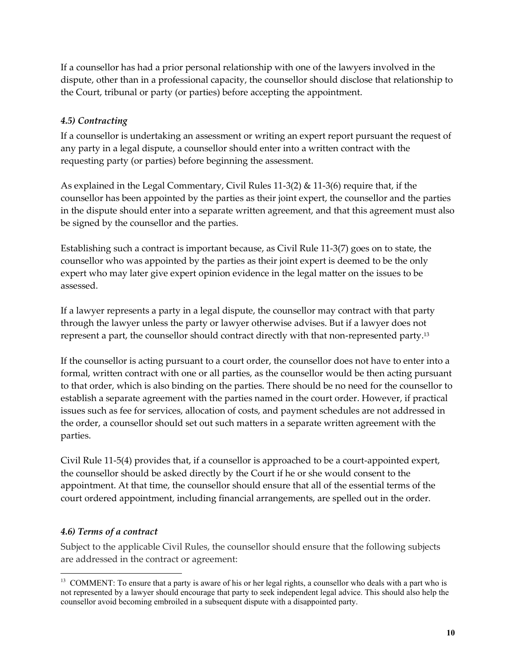If a counsellor has had a prior personal relationship with one of the lawyers involved in the dispute, other than in a professional capacity, the counsellor should disclose that relationship to the Court, tribunal or party (or parties) before accepting the appointment.

## <span id="page-9-0"></span>*4.5) Contracting*

If a counsellor is undertaking an assessment or writing an expert report pursuant the request of any party in a legal dispute, a counsellor should enter into a written contract with the requesting party (or parties) before beginning the assessment.

As explained in the Legal Commentary, Civil Rules 11-3(2) & 11-3(6) require that, if the counsellor has been appointed by the parties as their joint expert, the counsellor and the parties in the dispute should enter into a separate written agreement, and that this agreement must also be signed by the counsellor and the parties.

Establishing such a contract is important because, as Civil Rule 11-3(7) goes on to state, the counsellor who was appointed by the parties as their joint expert is deemed to be the only expert who may later give expert opinion evidence in the legal matter on the issues to be assessed.

If a lawyer represents a party in a legal dispute, the counsellor may contract with that party through the lawyer unless the party or lawyer otherwise advises. But if a lawyer does not represent a part, the counsellor should contract directly with that non-represented party.<sup>13</sup>

If the counsellor is acting pursuant to a court order, the counsellor does not have to enter into a formal, written contract with one or all parties, as the counsellor would be then acting pursuant to that order, which is also binding on the parties. There should be no need for the counsellor to establish a separate agreement with the parties named in the court order. However, if practical issues such as fee for services, allocation of costs, and payment schedules are not addressed in the order, a counsellor should set out such matters in a separate written agreement with the parties.

Civil Rule 11-5(4) provides that, if a counsellor is approached to be a court-appointed expert, the counsellor should be asked directly by the Court if he or she would consent to the appointment. At that time, the counsellor should ensure that all of the essential terms of the court ordered appointment, including financial arrangements, are spelled out in the order.

#### <span id="page-9-1"></span>*4.6) Terms of a contract*

Subject to the applicable Civil Rules, the counsellor should ensure that the following subjects are addressed in the contract or agreement:

 $\overline{a}$ <sup>13</sup> COMMENT: To ensure that a party is aware of his or her legal rights, a counsellor who deals with a part who is not represented by a lawyer should encourage that party to seek independent legal advice. This should also help the counsellor avoid becoming embroiled in a subsequent dispute with a disappointed party.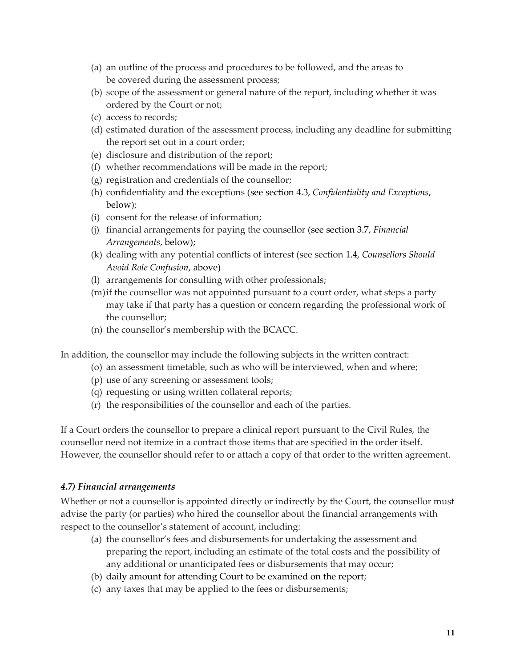- (a) an outline of the process and procedures to be followed, and the areas to be covered during the assessment process;
- (b) scope of the assessment or general nature of the report, including whether it was ordered by the Court or not;
- (c) access to records;
- (d) estimated duration of the assessment process, including any deadline for submitting the report set out in a court order;
- (e) disclosure and distribution of the report;
- (f) whether recommendations will be made in the report;
- (g) registration and credentials of the counsellor;
- (h) confidentiality and the exceptions (see section 4.3, *Confidentiality and Exceptions*, below);
- (i) consent for the release of information;
- (j) financial arrangements for paying the counsellor (see section 3.7, *Financial Arrangements*, below);
- (k) dealing with any potential conflicts of interest (see section 1.4*, Counsellors Should Avoid Role Confusion*, above)
- (l) arrangements for consulting with other professionals;
- (m)if the counsellor was not appointed pursuant to a court order, what steps a party may take if that party has a question or concern regarding the professional work of the counsellor;
- (n) the counsellor's membership with the BCACC.

In addition, the counsellor may include the following subjects in the written contract:

- (o) an assessment timetable, such as who will be interviewed, when and where;
- (p) use of any screening or assessment tools;
- (q) requesting or using written collateral reports;
- (r) the responsibilities of the counsellor and each of the parties.

If a Court orders the counsellor to prepare a clinical report pursuant to the Civil Rules, the counsellor need not itemize in a contract those items that are specified in the order itself. However, the counsellor should refer to or attach a copy of that order to the written agreement.

#### <span id="page-10-0"></span>*4.7) Financial arrangements*

Whether or not a counsellor is appointed directly or indirectly by the Court, the counsellor must advise the party (or parties) who hired the counsellor about the financial arrangements with respect to the counsellor's statement of account, including:

- (a) the counsellor's fees and disbursements for undertaking the assessment and preparing the report, including an estimate of the total costs and the possibility of any additional or unanticipated fees or disbursements that may occur;
- (b) daily amount for attending Court to be examined on the report;
- (c) any taxes that may be applied to the fees or disbursements;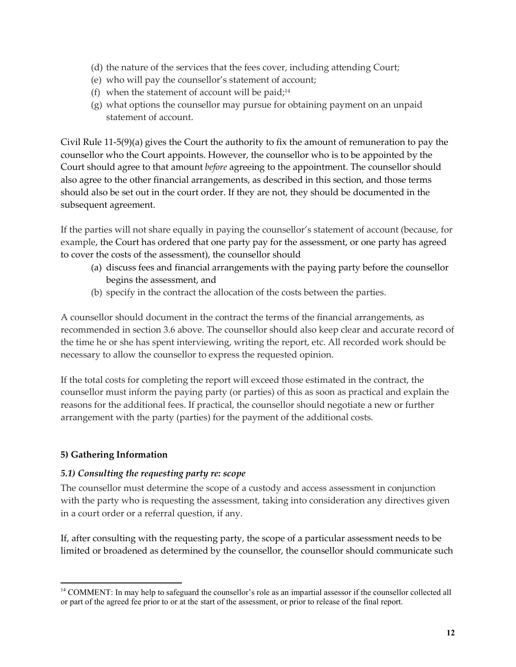- (d) the nature of the services that the fees cover, including attending Court;
- (e) who will pay the counsellor's statement of account;
- (f) when the statement of account will be paid;<sup>14</sup>
- (g) what options the counsellor may pursue for obtaining payment on an unpaid statement of account.

Civil Rule 11-5(9)(a) gives the Court the authority to fix the amount of remuneration to pay the counsellor who the Court appoints. However, the counsellor who is to be appointed by the Court should agree to that amount *before* agreeing to the appointment. The counsellor should also agree to the other financial arrangements, as described in this section, and those terms should also be set out in the court order. If they are not, they should be documented in the subsequent agreement.

If the parties will not share equally in paying the counsellor's statement of account (because, for example, the Court has ordered that one party pay for the assessment, or one party has agreed to cover the costs of the assessment), the counsellor should

- (a) discuss fees and financial arrangements with the paying party before the counsellor begins the assessment, and
- (b) specify in the contract the allocation of the costs between the parties.

A counsellor should document in the contract the terms of the financial arrangements, as recommended in section 3.6 above. The counsellor should also keep clear and accurate record of the time he or she has spent interviewing, writing the report, etc. All recorded work should be necessary to allow the counsellor to express the requested opinion.

If the total costs for completing the report will exceed those estimated in the contract, the counsellor must inform the paying party (or parties) of this as soon as practical and explain the reasons for the additional fees. If practical, the counsellor should negotiate a new or further arrangement with the party (parties) for the payment of the additional costs.

#### <span id="page-11-0"></span>**5) Gathering Information**

#### <span id="page-11-1"></span>*5.1) Consulting the requesting party re: scope*

The counsellor must determine the scope of a custody and access assessment in conjunction with the party who is requesting the assessment, taking into consideration any directives given in a court order or a referral question, if any.

If, after consulting with the requesting party, the scope of a particular assessment needs to be limited or broadened as determined by the counsellor, the counsellor should communicate such

 $\overline{a}$ <sup>14</sup> COMMENT: In may help to safeguard the counsellor's role as an impartial assessor if the counsellor collected all or part of the agreed fee prior to or at the start of the assessment, or prior to release of the final report.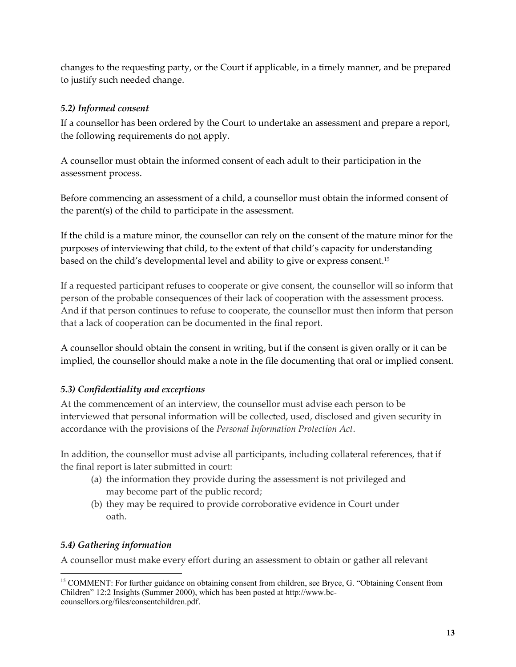changes to the requesting party, or the Court if applicable, in a timely manner, and be prepared to justify such needed change.

## <span id="page-12-0"></span>*5.2) Informed consent*

If a counsellor has been ordered by the Court to undertake an assessment and prepare a report, the following requirements do not apply.

A counsellor must obtain the informed consent of each adult to their participation in the assessment process.

Before commencing an assessment of a child, a counsellor must obtain the informed consent of the parent(s) of the child to participate in the assessment.

If the child is a mature minor, the counsellor can rely on the consent of the mature minor for the purposes of interviewing that child, to the extent of that child's capacity for understanding based on the child's developmental level and ability to give or express consent.<sup>15</sup>

If a requested participant refuses to cooperate or give consent, the counsellor will so inform that person of the probable consequences of their lack of cooperation with the assessment process. And if that person continues to refuse to cooperate, the counsellor must then inform that person that a lack of cooperation can be documented in the final report.

A counsellor should obtain the consent in writing, but if the consent is given orally or it can be implied, the counsellor should make a note in the file documenting that oral or implied consent.

# <span id="page-12-1"></span>*5.3) Confidentiality and exceptions*

At the commencement of an interview, the counsellor must advise each person to be interviewed that personal information will be collected, used, disclosed and given security in accordance with the provisions of the *Personal Information Protection Act*.

In addition, the counsellor must advise all participants, including collateral references, that if the final report is later submitted in court:

- (a) the information they provide during the assessment is not privileged and may become part of the public record;
- (b) they may be required to provide corroborative evidence in Court under oath.

# <span id="page-12-2"></span>*5.4) Gathering information*

A counsellor must make every effort during an assessment to obtain or gather all relevant

 $\overline{a}$ <sup>15</sup> COMMENT: For further guidance on obtaining consent from children, see Bryce, G. "Obtaining Consent from Children" 12:2 Insights (Summer 2000), which has been posted at http://www.bccounsellors.org/files/consentchildren.pdf.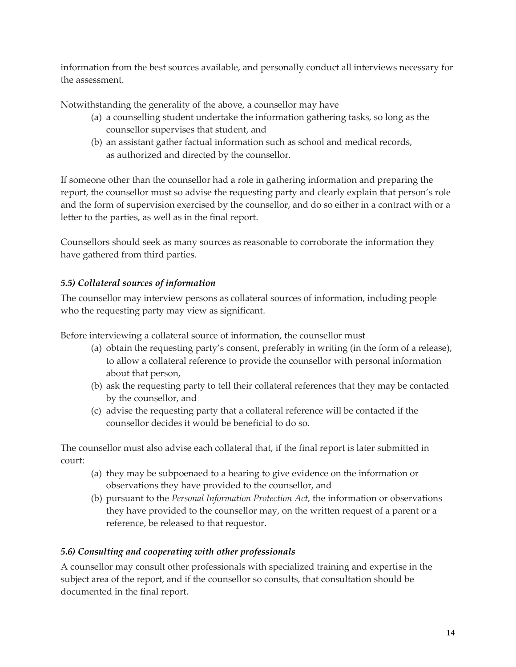information from the best sources available, and personally conduct all interviews necessary for the assessment.

Notwithstanding the generality of the above, a counsellor may have

- (a) a counselling student undertake the information gathering tasks, so long as the counsellor supervises that student, and
- (b) an assistant gather factual information such as school and medical records, as authorized and directed by the counsellor.

If someone other than the counsellor had a role in gathering information and preparing the report, the counsellor must so advise the requesting party and clearly explain that person's role and the form of supervision exercised by the counsellor, and do so either in a contract with or a letter to the parties, as well as in the final report.

Counsellors should seek as many sources as reasonable to corroborate the information they have gathered from third parties.

# <span id="page-13-0"></span>*5.5) Collateral sources of information*

The counsellor may interview persons as collateral sources of information, including people who the requesting party may view as significant.

Before interviewing a collateral source of information, the counsellor must

- (a) obtain the requesting party's consent, preferably in writing (in the form of a release), to allow a collateral reference to provide the counsellor with personal information about that person,
- (b) ask the requesting party to tell their collateral references that they may be contacted by the counsellor, and
- (c) advise the requesting party that a collateral reference will be contacted if the counsellor decides it would be beneficial to do so.

The counsellor must also advise each collateral that, if the final report is later submitted in court:

- (a) they may be subpoenaed to a hearing to give evidence on the information or observations they have provided to the counsellor, and
- (b) pursuant to the *Personal Information Protection Act,* the information or observations they have provided to the counsellor may, on the written request of a parent or a reference, be released to that requestor.

# <span id="page-13-1"></span>*5.6) Consulting and cooperating with other professionals*

A counsellor may consult other professionals with specialized training and expertise in the subject area of the report, and if the counsellor so consults, that consultation should be documented in the final report.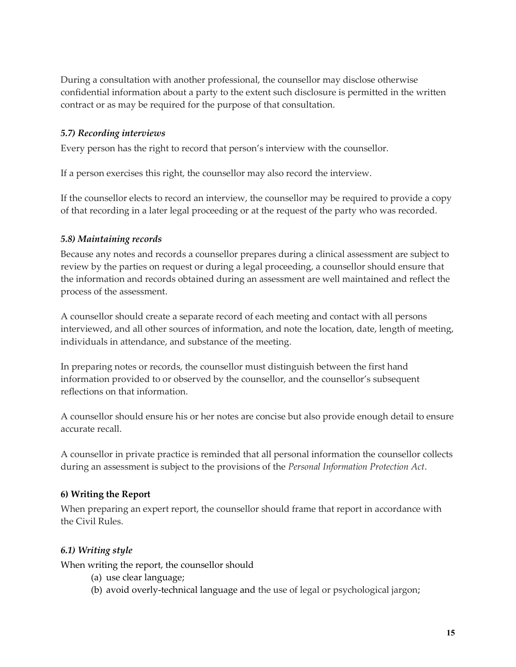During a consultation with another professional, the counsellor may disclose otherwise confidential information about a party to the extent such disclosure is permitted in the written contract or as may be required for the purpose of that consultation.

#### <span id="page-14-0"></span>*5.7) Recording interviews*

Every person has the right to record that person's interview with the counsellor.

If a person exercises this right, the counsellor may also record the interview.

If the counsellor elects to record an interview, the counsellor may be required to provide a copy of that recording in a later legal proceeding or at the request of the party who was recorded.

#### <span id="page-14-1"></span>*5.8) Maintaining records*

Because any notes and records a counsellor prepares during a clinical assessment are subject to review by the parties on request or during a legal proceeding, a counsellor should ensure that the information and records obtained during an assessment are well maintained and reflect the process of the assessment.

A counsellor should create a separate record of each meeting and contact with all persons interviewed, and all other sources of information, and note the location, date, length of meeting, individuals in attendance, and substance of the meeting.

In preparing notes or records, the counsellor must distinguish between the first hand information provided to or observed by the counsellor, and the counsellor's subsequent reflections on that information.

A counsellor should ensure his or her notes are concise but also provide enough detail to ensure accurate recall.

A counsellor in private practice is reminded that all personal information the counsellor collects during an assessment is subject to the provisions of the *Personal Information Protection Act*.

#### <span id="page-14-2"></span>**6) Writing the Report**

When preparing an expert report, the counsellor should frame that report in accordance with the Civil Rules.

#### <span id="page-14-3"></span>*6.1) Writing style*

When writing the report, the counsellor should

- (a) use clear language;
- (b) avoid overly-technical language and the use of legal or psychological jargon;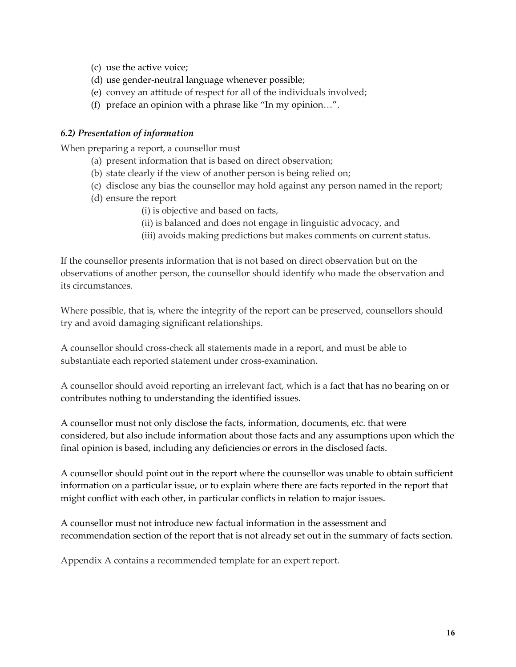- (c) use the active voice;
- (d) use gender-neutral language whenever possible;
- (e) convey an attitude of respect for all of the individuals involved;
- (f) preface an opinion with a phrase like "In my opinion…".

#### <span id="page-15-0"></span>*6.2) Presentation of information*

When preparing a report, a counsellor must

- (a) present information that is based on direct observation;
- (b) state clearly if the view of another person is being relied on;
- (c) disclose any bias the counsellor may hold against any person named in the report;
- (d) ensure the report
	- (i) is objective and based on facts,
	- (ii) is balanced and does not engage in linguistic advocacy, and
	- (iii) avoids making predictions but makes comments on current status.

If the counsellor presents information that is not based on direct observation but on the observations of another person, the counsellor should identify who made the observation and its circumstances.

Where possible, that is, where the integrity of the report can be preserved, counsellors should try and avoid damaging significant relationships.

A counsellor should cross-check all statements made in a report, and must be able to substantiate each reported statement under cross-examination.

A counsellor should avoid reporting an irrelevant fact, which is a fact that has no bearing on or contributes nothing to understanding the identified issues.

A counsellor must not only disclose the facts, information, documents, etc. that were considered, but also include information about those facts and any assumptions upon which the final opinion is based, including any deficiencies or errors in the disclosed facts.

A counsellor should point out in the report where the counsellor was unable to obtain sufficient information on a particular issue, or to explain where there are facts reported in the report that might conflict with each other, in particular conflicts in relation to major issues.

A counsellor must not introduce new factual information in the assessment and recommendation section of the report that is not already set out in the summary of facts section.

Appendix A contains a recommended template for an expert report.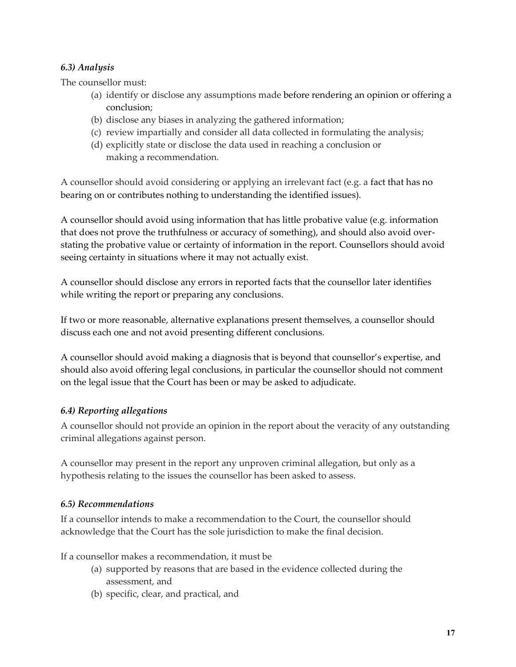## <span id="page-16-0"></span>*6.3) Analysis*

The counsellor must:

- (a) identify or disclose any assumptions made before rendering an opinion or offering a conclusion;
- (b) disclose any biases in analyzing the gathered information;
- (c) review impartially and consider all data collected in formulating the analysis;
- (d) explicitly state or disclose the data used in reaching a conclusion or making a recommendation.

A counsellor should avoid considering or applying an irrelevant fact (e.g. a fact that has no bearing on or contributes nothing to understanding the identified issues).

A counsellor should avoid using information that has little probative value (e.g. information that does not prove the truthfulness or accuracy of something), and should also avoid overstating the probative value or certainty of information in the report. Counsellors should avoid seeing certainty in situations where it may not actually exist.

A counsellor should disclose any errors in reported facts that the counsellor later identifies while writing the report or preparing any conclusions.

If two or more reasonable, alternative explanations present themselves, a counsellor should discuss each one and not avoid presenting different conclusions.

A counsellor should avoid making a diagnosis that is beyond that counsellor's expertise, and should also avoid offering legal conclusions, in particular the counsellor should not comment on the legal issue that the Court has been or may be asked to adjudicate.

# <span id="page-16-1"></span>*6.4) Reporting allegations*

A counsellor should not provide an opinion in the report about the veracity of any outstanding criminal allegations against person.

A counsellor may present in the report any unproven criminal allegation, but only as a hypothesis relating to the issues the counsellor has been asked to assess.

#### <span id="page-16-2"></span>*6.5) Recommendations*

If a counsellor intends to make a recommendation to the Court, the counsellor should acknowledge that the Court has the sole jurisdiction to make the final decision.

If a counsellor makes a recommendation, it must be

- (a) supported by reasons that are based in the evidence collected during the assessment, and
- (b) specific, clear, and practical, and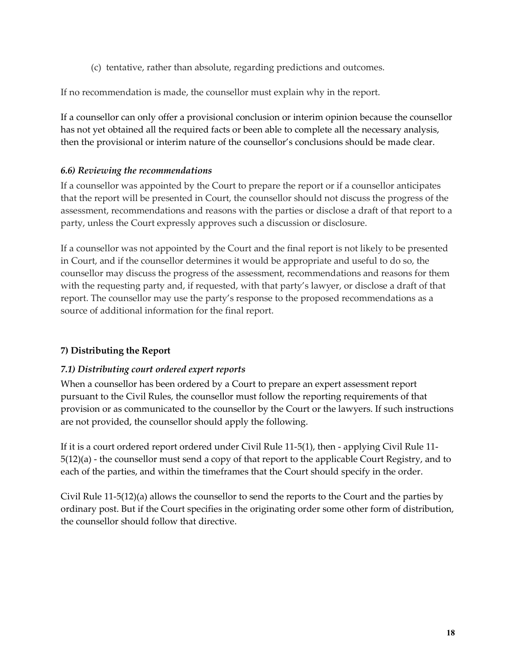(c) tentative, rather than absolute, regarding predictions and outcomes.

If no recommendation is made, the counsellor must explain why in the report.

If a counsellor can only offer a provisional conclusion or interim opinion because the counsellor has not yet obtained all the required facts or been able to complete all the necessary analysis, then the provisional or interim nature of the counsellor's conclusions should be made clear.

#### <span id="page-17-0"></span>*6.6) Reviewing the recommendations*

If a counsellor was appointed by the Court to prepare the report or if a counsellor anticipates that the report will be presented in Court, the counsellor should not discuss the progress of the assessment, recommendations and reasons with the parties or disclose a draft of that report to a party, unless the Court expressly approves such a discussion or disclosure.

If a counsellor was not appointed by the Court and the final report is not likely to be presented in Court, and if the counsellor determines it would be appropriate and useful to do so, the counsellor may discuss the progress of the assessment, recommendations and reasons for them with the requesting party and, if requested, with that party's lawyer, or disclose a draft of that report. The counsellor may use the party's response to the proposed recommendations as a source of additional information for the final report.

#### <span id="page-17-1"></span>**7) Distributing the Report**

#### <span id="page-17-2"></span>*7.1) Distributing court ordered expert reports*

When a counsellor has been ordered by a Court to prepare an expert assessment report pursuant to the Civil Rules, the counsellor must follow the reporting requirements of that provision or as communicated to the counsellor by the Court or the lawyers. If such instructions are not provided, the counsellor should apply the following.

If it is a court ordered report ordered under Civil Rule 11-5(1), then - applying Civil Rule 11- 5(12)(a) - the counsellor must send a copy of that report to the applicable Court Registry, and to each of the parties, and within the timeframes that the Court should specify in the order.

Civil Rule 11-5(12)(a) allows the counsellor to send the reports to the Court and the parties by ordinary post. But if the Court specifies in the originating order some other form of distribution, the counsellor should follow that directive.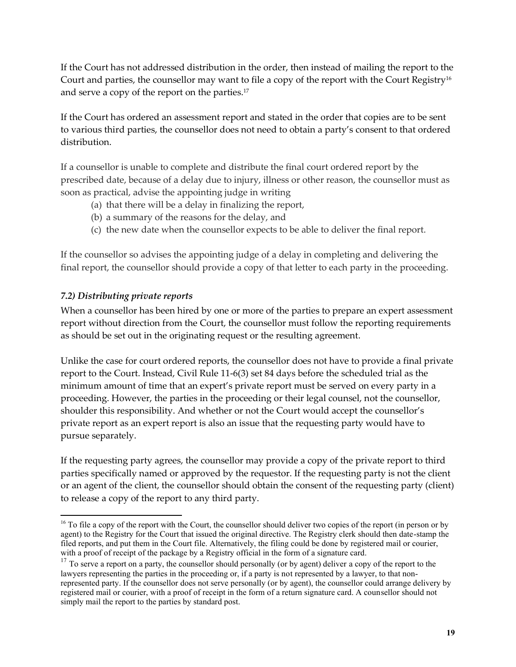If the Court has not addressed distribution in the order, then instead of mailing the report to the Court and parties, the counsellor may want to file a copy of the report with the Court Registry<sup>16</sup> and serve a copy of the report on the parties.<sup>17</sup>

If the Court has ordered an assessment report and stated in the order that copies are to be sent to various third parties, the counsellor does not need to obtain a party's consent to that ordered distribution.

If a counsellor is unable to complete and distribute the final court ordered report by the prescribed date, because of a delay due to injury, illness or other reason, the counsellor must as soon as practical, advise the appointing judge in writing

- (a) that there will be a delay in finalizing the report,
- (b) a summary of the reasons for the delay, and
- (c) the new date when the counsellor expects to be able to deliver the final report.

If the counsellor so advises the appointing judge of a delay in completing and delivering the final report, the counsellor should provide a copy of that letter to each party in the proceeding.

## <span id="page-18-0"></span>*7.2) Distributing private reports*

When a counsellor has been hired by one or more of the parties to prepare an expert assessment report without direction from the Court, the counsellor must follow the reporting requirements as should be set out in the originating request or the resulting agreement.

Unlike the case for court ordered reports, the counsellor does not have to provide a final private report to the Court. Instead, Civil Rule 11-6(3) set 84 days before the scheduled trial as the minimum amount of time that an expert's private report must be served on every party in a proceeding. However, the parties in the proceeding or their legal counsel, not the counsellor, shoulder this responsibility. And whether or not the Court would accept the counsellor's private report as an expert report is also an issue that the requesting party would have to pursue separately.

If the requesting party agrees, the counsellor may provide a copy of the private report to third parties specifically named or approved by the requestor. If the requesting party is not the client or an agent of the client, the counsellor should obtain the consent of the requesting party (client) to release a copy of the report to any third party.

 $\overline{a}$ <sup>16</sup> To file a copy of the report with the Court, the counsellor should deliver two copies of the report (in person or by agent) to the Registry for the Court that issued the original directive. The Registry clerk should then date-stamp the filed reports, and put them in the Court file. Alternatively, the filing could be done by registered mail or courier, with a proof of receipt of the package by a Registry official in the form of a signature card.

<sup>&</sup>lt;sup>17</sup> To serve a report on a party, the counsellor should personally (or by agent) deliver a copy of the report to the lawyers representing the parties in the proceeding or, if a party is not represented by a lawyer, to that nonrepresented party. If the counsellor does not serve personally (or by agent), the counsellor could arrange delivery by registered mail or courier, with a proof of receipt in the form of a return signature card. A counsellor should not simply mail the report to the parties by standard post.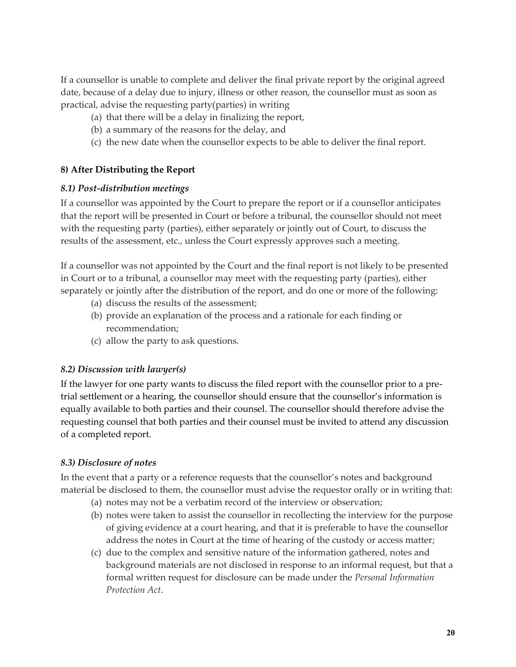If a counsellor is unable to complete and deliver the final private report by the original agreed date, because of a delay due to injury, illness or other reason, the counsellor must as soon as practical, advise the requesting party(parties) in writing

- (a) that there will be a delay in finalizing the report,
- (b) a summary of the reasons for the delay, and
- (c) the new date when the counsellor expects to be able to deliver the final report.

## <span id="page-19-0"></span>**8) After Distributing the Report**

#### <span id="page-19-1"></span>*8.1) Post-distribution meetings*

If a counsellor was appointed by the Court to prepare the report or if a counsellor anticipates that the report will be presented in Court or before a tribunal, the counsellor should not meet with the requesting party (parties), either separately or jointly out of Court, to discuss the results of the assessment, etc., unless the Court expressly approves such a meeting.

If a counsellor was not appointed by the Court and the final report is not likely to be presented in Court or to a tribunal, a counsellor may meet with the requesting party (parties), either separately or jointly after the distribution of the report, and do one or more of the following:

- (a) discuss the results of the assessment;
- (b) provide an explanation of the process and a rationale for each finding or recommendation;
- (c) allow the party to ask questions.

#### <span id="page-19-2"></span>*8.2) Discussion with lawyer(s)*

If the lawyer for one party wants to discuss the filed report with the counsellor prior to a pretrial settlement or a hearing, the counsellor should ensure that the counsellor's information is equally available to both parties and their counsel. The counsellor should therefore advise the requesting counsel that both parties and their counsel must be invited to attend any discussion of a completed report.

#### <span id="page-19-3"></span>*8.3) Disclosure of notes*

In the event that a party or a reference requests that the counsellor's notes and background material be disclosed to them, the counsellor must advise the requestor orally or in writing that:

- (a) notes may not be a verbatim record of the interview or observation;
- (b) notes were taken to assist the counsellor in recollecting the interview for the purpose of giving evidence at a court hearing, and that it is preferable to have the counsellor address the notes in Court at the time of hearing of the custody or access matter;
- (c) due to the complex and sensitive nature of the information gathered, notes and background materials are not disclosed in response to an informal request, but that a formal written request for disclosure can be made under the *Personal Information Protection Act*.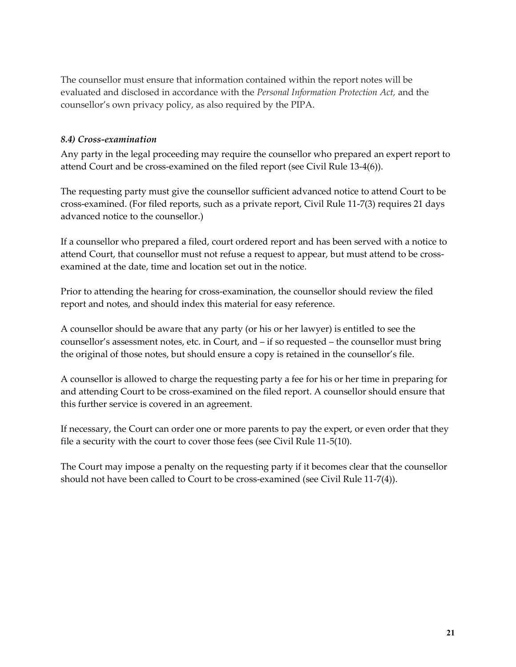The counsellor must ensure that information contained within the report notes will be evaluated and disclosed in accordance with the *Personal Information Protection Act,* and the counsellor's own privacy policy, as also required by the PIPA.

#### <span id="page-20-0"></span>*8.4) Cross-examination*

Any party in the legal proceeding may require the counsellor who prepared an expert report to attend Court and be cross-examined on the filed report (see Civil Rule 13-4(6)).

The requesting party must give the counsellor sufficient advanced notice to attend Court to be cross-examined. (For filed reports, such as a private report, Civil Rule 11-7(3) requires 21 days advanced notice to the counsellor.)

If a counsellor who prepared a filed, court ordered report and has been served with a notice to attend Court, that counsellor must not refuse a request to appear, but must attend to be crossexamined at the date, time and location set out in the notice.

Prior to attending the hearing for cross-examination, the counsellor should review the filed report and notes, and should index this material for easy reference.

A counsellor should be aware that any party (or his or her lawyer) is entitled to see the counsellor's assessment notes, etc. in Court, and – if so requested – the counsellor must bring the original of those notes, but should ensure a copy is retained in the counsellor's file.

A counsellor is allowed to charge the requesting party a fee for his or her time in preparing for and attending Court to be cross-examined on the filed report. A counsellor should ensure that this further service is covered in an agreement.

If necessary, the Court can order one or more parents to pay the expert, or even order that they file a security with the court to cover those fees (see Civil Rule 11-5(10).

The Court may impose a penalty on the requesting party if it becomes clear that the counsellor should not have been called to Court to be cross-examined (see Civil Rule 11-7(4)).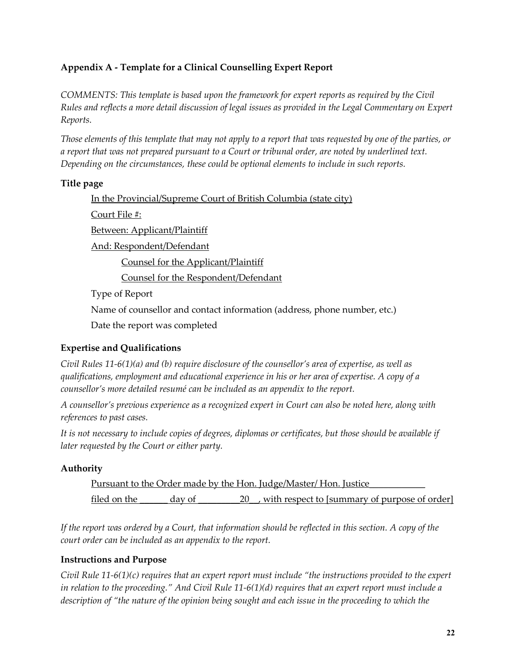# <span id="page-21-0"></span>**Appendix A - Template for a Clinical Counselling Expert Report**

*COMMENTS: This template is based upon the framework for expert reports as required by the Civil Rules and reflects a more detail discussion of legal issues as provided in the Legal Commentary on Expert Reports.* 

*Those elements of this template that may not apply to a report that was requested by one of the parties, or a report that was not prepared pursuant to a Court or tribunal order, are noted by underlined text. Depending on the circumstances, these could be optional elements to include in such reports.* 

## **Title page**

In the Provincial/Supreme Court of British Columbia (state city) Court File #: Between: Applicant/Plaintiff And: Respondent/Defendant Counsel for the Applicant/Plaintiff Counsel for the Respondent/Defendant Type of Report Name of counsellor and contact information (address, phone number, etc.) Date the report was completed

# **Expertise and Qualifications**

*Civil Rules 11-6(1)(a) and (b) require disclosure of the counsellor's area of expertise, as well as qualifications, employment and educational experience in his or her area of expertise. A copy of a counsellor's more detailed resumé can be included as an appendix to the report.* 

*A counsellor's previous experience as a recognized expert in Court can also be noted here, along with references to past cases.* 

*It is not necessary to include copies of degrees, diplomas or certificates, but those should be available if later requested by the Court or either party.* 

# **Authority**

Pursuant to the Order made by the Hon. Judge/Master/ Hon. Justice filed on the  $\frac{day}{}$  of  $\frac{20}{}$ , with respect to [summary of purpose of order]

*If the report was ordered by a Court, that information should be reflected in this section. A copy of the court order can be included as an appendix to the report.*

#### **Instructions and Purpose**

*Civil Rule 11-6(1)(c) requires that an expert report must include "the instructions provided to the expert in relation to the proceeding." And Civil Rule 11-6(1)(d) requires that an expert report must include a*  description of "the nature of the opinion being sought and each issue in the proceeding to which the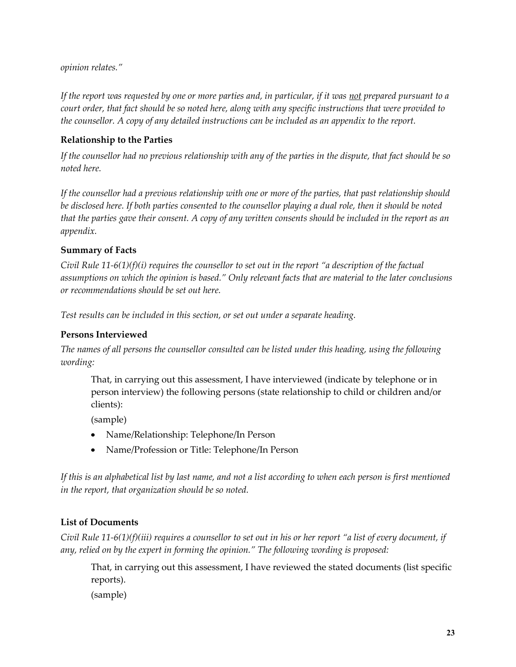*opinion relates."*

*If the report was requested by one or more parties and, in particular, if it was not prepared pursuant to a court order, that fact should be so noted here, along with any specific instructions that were provided to the counsellor. A copy of any detailed instructions can be included as an appendix to the report.* 

#### **Relationship to the Parties**

*If the counsellor had no previous relationship with any of the parties in the dispute, that fact should be so noted here.*

*If the counsellor had a previous relationship with one or more of the parties, that past relationship should be disclosed here. If both parties consented to the counsellor playing a dual role, then it should be noted that the parties gave their consent. A copy of any written consents should be included in the report as an appendix.* 

#### **Summary of Facts**

*Civil Rule 11-6(1)(f)(i) requires the counsellor to set out in the report "a description of the factual assumptions on which the opinion is based." Only relevant facts that are material to the later conclusions or recommendations should be set out here.* 

*Test results can be included in this section, or set out under a separate heading.* 

#### **Persons Interviewed**

*The names of all persons the counsellor consulted can be listed under this heading, using the following wording:* 

That, in carrying out this assessment, I have interviewed (indicate by telephone or in person interview) the following persons (state relationship to child or children and/or clients):

(sample)

- Name/Relationship: Telephone/In Person
- Name/Profession or Title: Telephone/In Person  $\bullet$

*If this is an alphabetical list by last name, and not a list according to when each person is first mentioned in the report, that organization should be so noted.* 

#### **List of Documents**

*Civil Rule 11-6(1)(f)(iii) requires a counsellor to set out in his or her report "a list of every document, if any, relied on by the expert in forming the opinion." The following wording is proposed:* 

That, in carrying out this assessment, I have reviewed the stated documents (list specific reports).

(sample)